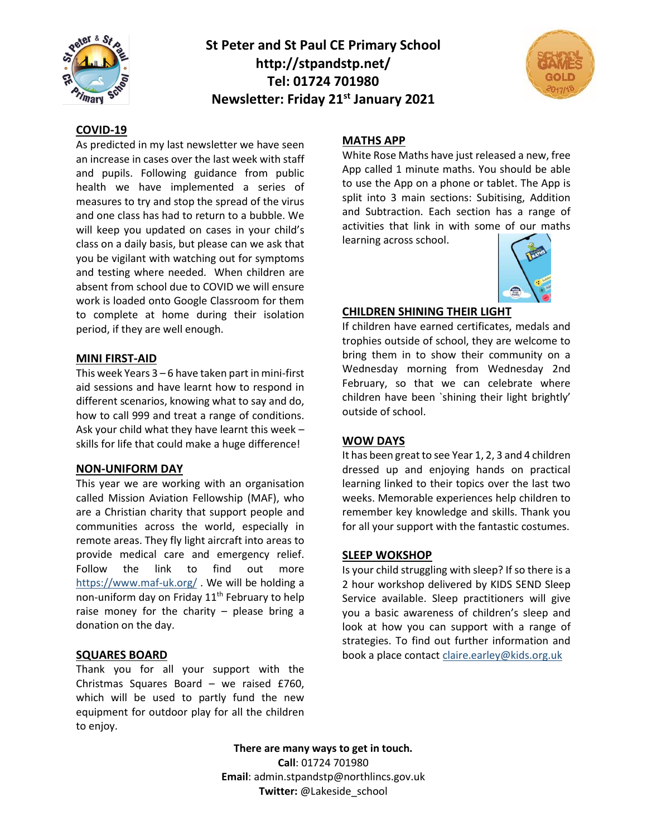

# **St Peter and St Paul CE Primary School http://stpandstp.net/ Tel: 01724 701980 Newsletter: Friday 21st January 2021**



### **COVID-19**

As predicted in my last newsletter we have seen an increase in cases over the last week with staff and pupils. Following guidance from public health we have implemented a series of measures to try and stop the spread of the virus and one class has had to return to a bubble. We will keep you updated on cases in your child's class on a daily basis, but please can we ask that you be vigilant with watching out for symptoms and testing where needed. When children are absent from school due to COVID we will ensure work is loaded onto Google Classroom for them to complete at home during their isolation period, if they are well enough.

#### **MINI FIRST-AID**

This week Years 3 – 6 have taken part in mini-first aid sessions and have learnt how to respond in different scenarios, knowing what to say and do, how to call 999 and treat a range of conditions. Ask your child what they have learnt this week – skills for life that could make a huge difference!

#### **NON-UNIFORM DAY**

This year we are working with an organisation called Mission Aviation Fellowship (MAF), who are a Christian charity that support people and communities across the world, especially in remote areas. They fly light aircraft into areas to provide medical care and emergency relief. Follow the link to find out more <https://www.maf-uk.org/> . We will be holding a non-uniform day on Friday 11<sup>th</sup> February to help raise money for the charity – please bring a donation on the day.

# **SQUARES BOARD**

Thank you for all your support with the Christmas Squares Board – we raised £760, which will be used to partly fund the new equipment for outdoor play for all the children to enjoy.

#### **MATHS APP**

White Rose Maths have just released a new, free App called 1 minute maths. You should be able to use the App on a phone or tablet. The App is split into 3 main sections: Subitising, Addition and Subtraction. Each section has a range of activities that link in with some of our maths learning across school.



#### **CHILDREN SHINING THEIR LIGHT**

If children have earned certificates, medals and trophies outside of school, they are welcome to bring them in to show their community on a Wednesday morning from Wednesday 2nd February, so that we can celebrate where children have been `shining their light brightly' outside of school.

### **WOW DAYS**

It has been great to see Year 1, 2, 3 and 4 children dressed up and enjoying hands on practical learning linked to their topics over the last two weeks. Memorable experiences help children to remember key knowledge and skills. Thank you for all your support with the fantastic costumes.

#### **SLEEP WOKSHOP**

Is your child struggling with sleep? If so there is a 2 hour workshop delivered by KIDS SEND Sleep Service available. Sleep practitioners will give you a basic awareness of children's sleep and look at how you can support with a range of strategies. To find out further information and book a place contact [claire.earley@kids.org.uk](mailto:claire.earley@kids.org.uk)

**There are many ways to get in touch. Call**: 01724 701980 **Email**: admin.stpandstp@northlincs.gov.uk **Twitter:** @Lakeside\_school